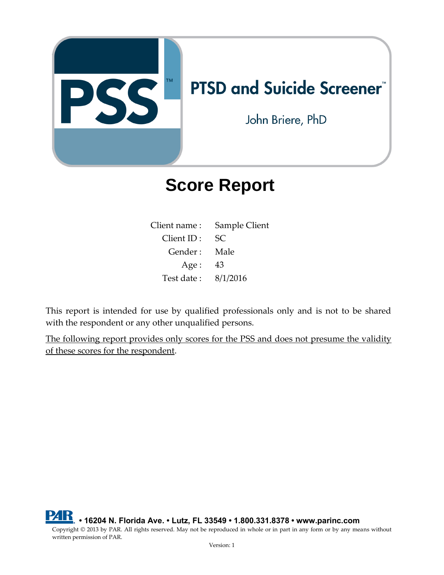

# **Score Report**

| Client name:  | Sample Client |
|---------------|---------------|
| $Client$ ID : | SC.           |
| Gender :      | Male          |
| Age:          | 43            |
| Test date:    | 8/1/2016      |

This report is intended for use by qualified professionals only and is not to be shared with the respondent or any other unqualified persons.

The following report provides only scores for the PSS and does not presume the validity of these scores for the respondent.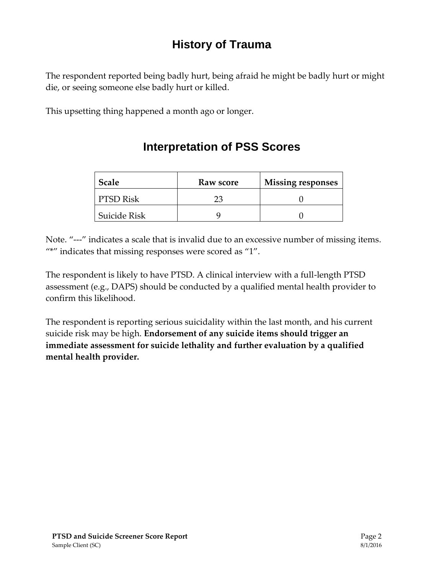## **History of Trauma**

The respondent reported being badly hurt, being afraid he might be badly hurt or might die, or seeing someone else badly hurt or killed.

This upsetting thing happened a month ago or longer.

| <b>Scale</b>        | Raw score | <b>Missing responses</b> |
|---------------------|-----------|--------------------------|
| PTSD Risk           |           |                          |
| <b>Suicide Risk</b> |           |                          |

### **Interpretation of PSS Scores**

Note. "---" indicates a scale that is invalid due to an excessive number of missing items. "\*" indicates that missing responses were scored as "1".

The respondent is likely to have PTSD. A clinical interview with a full-length PTSD assessment (e.g., DAPS) should be conducted by a qualified mental health provider to confirm this likelihood.

The respondent is reporting serious suicidality within the last month, and his current suicide risk may be high. **Endorsement of any suicide items should trigger an immediate assessment for suicide lethality and further evaluation by a qualified mental health provider.**